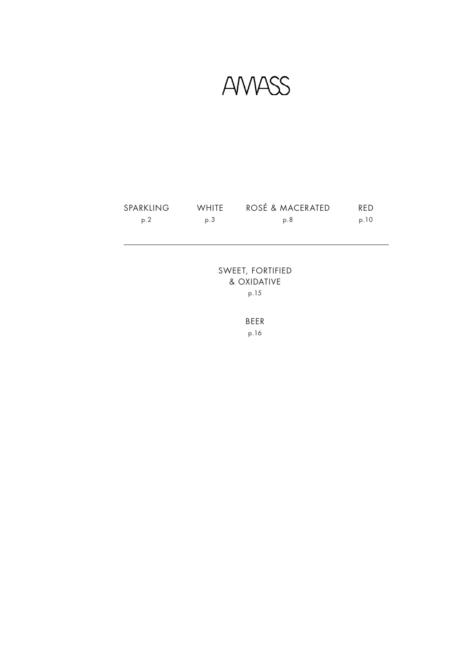**AVVASS** 

| SPARKLING | <b>WHITE</b> | ROSÉ & MACERATED | <b>RFD</b> |
|-----------|--------------|------------------|------------|
| p.2       | p.3          | p.8              | p.10       |

SWEET, FORTIFIED & OXIDATIVE p.15

> BEER p.16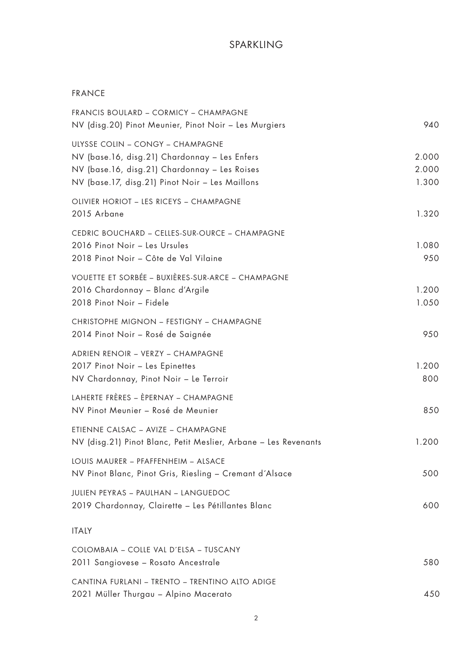## SPARKLING

### FRANCE

| FRANCIS BOULARD - CORMICY - CHAMPAGNE<br>NV (disg.20) Pinot Meunier, Pinot Noir - Les Murgiers                                                                                        | 940                     |
|---------------------------------------------------------------------------------------------------------------------------------------------------------------------------------------|-------------------------|
| ULYSSE COLIN - CONGY - CHAMPAGNE<br>NV (base.16, disg.21) Chardonnay - Les Enfers<br>NV (base.16, disg.21) Chardonnay - Les Roises<br>NV (base.17, disg.21) Pinot Noir - Les Maillons | 2.000<br>2.000<br>1.300 |
| OLIVIER HORIOT - LES RICEYS - CHAMPAGNE<br>2015 Arbane                                                                                                                                | 1.320                   |
| CEDRIC BOUCHARD - CELLES-SUR-OURCE - CHAMPAGNE<br>2016 Pinot Noir - Les Ursules<br>2018 Pinot Noir - Côte de Val Vilaine                                                              | 1.080<br>950            |
| VOUETTE ET SORBÉE - BUXIÈRES-SUR-ARCE - CHAMPAGNE<br>2016 Chardonnay - Blanc d'Argile<br>2018 Pinot Noir - Fidele                                                                     | 1.200<br>1.050          |
| CHRISTOPHE MIGNON - FESTIGNY - CHAMPAGNE<br>2014 Pinot Noir - Rosé de Saignée                                                                                                         | 950                     |
| ADRIEN RENOIR - VERZY - CHAMPAGNE<br>2017 Pinot Noir - Les Epinettes<br>NV Chardonnay, Pinot Noir - Le Terroir                                                                        | 1.200<br>800            |
| LAHERTE FRÈRES - ÈPERNAY - CHAMPAGNE<br>NV Pinot Meunier - Rosé de Meunier                                                                                                            | 850                     |
| ETIENNE CALSAC - AVIZE - CHAMPAGNE<br>NV (disg.21) Pinot Blanc, Petit Meslier, Arbane - Les Revenants                                                                                 | 1.200                   |
| LOUIS MAURER - PFAFFENHEIM - ALSACE<br>NV Pinot Blanc, Pinot Gris, Riesling - Cremant d'Alsace                                                                                        | 500                     |
| JULIEN PEYRAS - PAULHAN - LANGUEDOC<br>2019 Chardonnay, Clairette - Les Pétillantes Blanc                                                                                             | 600                     |
| <b>ITALY</b>                                                                                                                                                                          |                         |
| COLOMBAIA - COLLE VAL D'ELSA - TUSCANY<br>2011 Sangiovese - Rosato Ancestrale                                                                                                         | 580                     |
| CANTINA FURLANI - TRENTO - TRENTINO ALTO ADIGE<br>2021 Müller Thurgau - Alpino Macerato                                                                                               | 450                     |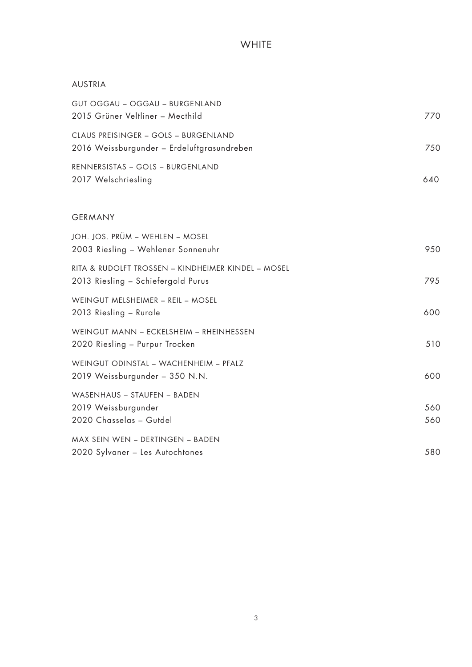| <b>AUSTRIA</b>                                                                           |            |
|------------------------------------------------------------------------------------------|------------|
| GUT OGGAU - OGGAU - BURGENLAND<br>2015 Grüner Veltliner - Mecthild                       | 770        |
| CLAUS PREISINGER - GOLS - BURGENLAND<br>2016 Weissburgunder - Erdeluftgrasundreben       | 750        |
| RENNERSISTAS - GOLS - BURGENLAND<br>2017 Welschriesling                                  | 640        |
| <b>GERMANY</b>                                                                           |            |
| JOH. JOS. PRÜM – WEHLEN – MOSEL<br>2003 Riesling - Wehlener Sonnenuhr                    | 950        |
| RITA & RUDOLFT TROSSEN - KINDHEIMER KINDEL - MOSEL<br>2013 Riesling - Schiefergold Purus | 795        |
| WEINGUT MELSHEIMER - REIL - MOSEL<br>2013 Riesling - Rurale                              | 600        |
| WEINGUT MANN - ECKELSHEIM - RHEINHESSEN<br>2020 Riesling - Purpur Trocken                | 510        |
| WEINGUT ODINSTAL - WACHENHEIM - PFALZ<br>2019 Weissburgunder - 350 N.N.                  | 600        |
| WASENHAUS - STAUFEN - BADEN<br>2019 Weissburgunder<br>2020 Chasselas - Gutdel            | 560<br>560 |
| MAX SEIN WEN - DERTINGEN - BADEN<br>2020 Sylvaner - Les Autochtones                      | 580        |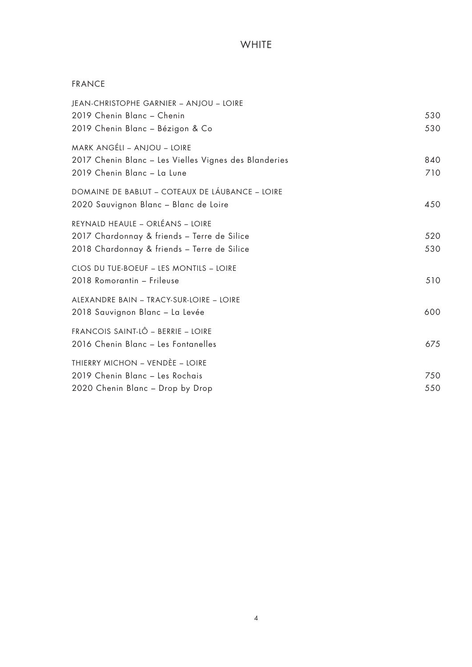## FRANCE

| JEAN-CHRISTOPHE GARNIER - ANJOU - LOIRE               |     |
|-------------------------------------------------------|-----|
| 2019 Chenin Blanc - Chenin                            | 530 |
| 2019 Chenin Blanc - Bézigon & Co                      | 530 |
| MARK ANGÉLI - ANJOU - LOIRE                           |     |
| 2017 Chenin Blanc - Les Vielles Vignes des Blanderies | 840 |
| 2019 Chenin Blanc - La Lune                           | 710 |
| DOMAINE DE BABLUT - COTEAUX DE LÁUBANCE - LOIRE       |     |
| 2020 Sauvignon Blanc - Blanc de Loire                 | 450 |
| REYNALD HEAULE - ORLÉANS - LOIRE                      |     |
| 2017 Chardonnay & friends - Terre de Silice           | 520 |
| 2018 Chardonnay & friends - Terre de Silice           | 530 |
| CLOS DU TUE-BOEUF - LES MONTILS - LOIRE               |     |
| 2018 Romorantin - Frileuse                            | 510 |
| ALEXANDRE BAIN - TRACY-SUR-LOIRE - LOIRE              |     |
| 2018 Sauvignon Blanc - La Levée                       | 600 |
| FRANCOIS SAINT-LÔ - BERRIE - LOIRE                    |     |
| 2016 Chenin Blanc - Les Fontanelles                   | 675 |
| THIERRY MICHON - VENDÈE - LOIRE                       |     |
| 2019 Chenin Blanc - Les Rochais                       | 750 |
| 2020 Chenin Blanc - Drop by Drop                      | 550 |
|                                                       |     |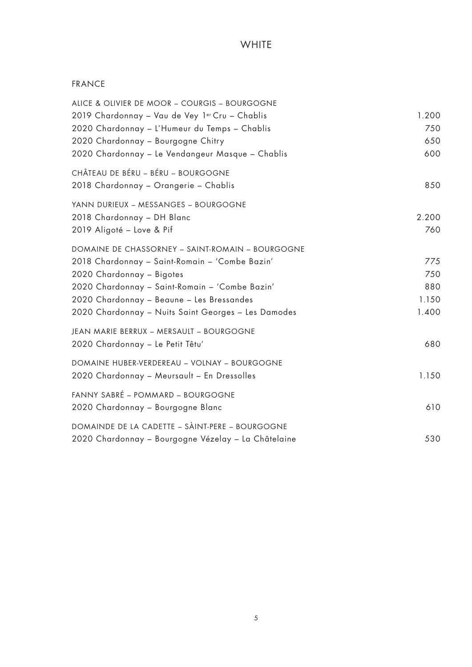## FRANCE

| ALICE & OLIVIER DE MOOR - COURGIS - BOURGOGNE       |       |
|-----------------------------------------------------|-------|
| 2019 Chardonnay - Vau de Vey 1er Cru - Chablis      | 1.200 |
| 2020 Chardonnay - L'Humeur du Temps - Chablis       | 750   |
| 2020 Chardonnay - Bourgogne Chitry                  | 650   |
| 2020 Chardonnay - Le Vendangeur Masque - Chablis    | 600   |
| CHÂTEAU DE BÉRU - BÉRU - BOURGOGNE                  |       |
| 2018 Chardonnay - Orangerie - Chablis               | 850   |
| YANN DURIEUX - MESSANGES - BOURGOGNE                |       |
| 2018 Chardonnay - DH Blanc                          | 2.200 |
| 2019 Aligoté - Love & Pif                           | 760   |
| DOMAINE DE CHASSORNEY - SAINT-ROMAIN - BOURGOGNE    |       |
| 2018 Chardonnay - Saint-Romain - 'Combe Bazin'      | 775   |
| 2020 Chardonnay - Bigotes                           | 750   |
| 2020 Chardonnay - Saint-Romain - 'Combe Bazin'      | 880   |
| 2020 Chardonnay - Beaune - Les Bressandes           | 1.150 |
| 2020 Chardonnay - Nuits Saint Georges - Les Damodes | 1.400 |
| JEAN MARIE BERRUX - MERSAULT - BOURGOGNE            |       |
| 2020 Chardonnay - Le Petit Têtu'                    | 680   |
| DOMAINE HUBER-VERDEREAU - VOLNAY - BOURGOGNE        |       |
| 2020 Chardonnay - Meursault - En Dressolles         | 1.150 |
| FANNY SABRÉ - POMMARD - BOURGOGNE                   |       |
| 2020 Chardonnay - Bourgogne Blanc                   | 610   |
| DOMAINDE DE LA CADETTE - SÀINT-PERE - BOURGOGNE     |       |
| 2020 Chardonnay - Bourgogne Vézelay - La Châtelaine | 530   |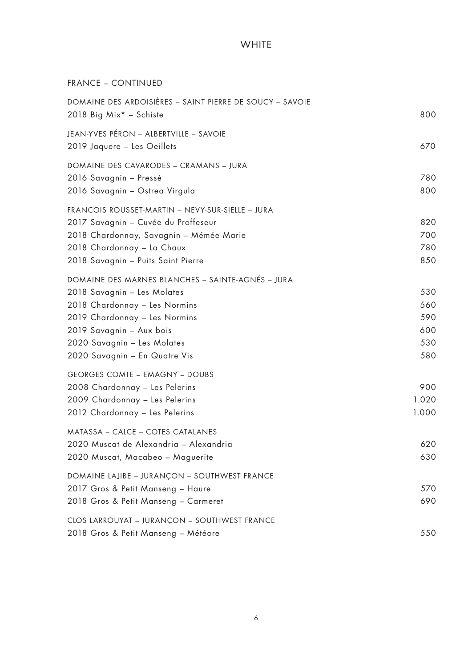FRANCE – CONTINUED

| DOMAINE DES ARDOISIÈRES - SAINT PIERRE DE SOUCY - SAVOIE<br>2018 Big Mix* - Schiste                                                                                                                                                            | 800                                    |
|------------------------------------------------------------------------------------------------------------------------------------------------------------------------------------------------------------------------------------------------|----------------------------------------|
| JEAN-YVES PÉRON - ALBERTVILLE - SAVOIE<br>2019 Jaquere - Les Oeillets                                                                                                                                                                          | 670                                    |
| DOMAINE DES CAVARODES - CRAMANS - JURA<br>2016 Savagnin - Pressé<br>2016 Savagnin – Ostrea Virgula                                                                                                                                             | 780<br>800                             |
| FRANCOIS ROUSSET-MARTIN - NEVY-SUR-SIELLE - JURA<br>2017 Savagnin - Cuvée du Proffeseur<br>2018 Chardonnay, Savagnin – Mémée Marie<br>2018 Chardonnay - La Chaux<br>2018 Savagnin - Puits Saint Pierre                                         | 820<br>700<br>780<br>850               |
| DOMAINE DES MARNES BLANCHES - SAINTE-AGNÉS - JURA<br>2018 Savagnin - Les Molates<br>2018 Chardonnay - Les Normins<br>2019 Chardonnay - Les Normins<br>2019 Savagnin - Aux bois<br>2020 Savagnin - Les Molates<br>2020 Savagnin - En Quatre Vis | 530<br>560<br>590<br>600<br>530<br>580 |
| <b>GEORGES COMTE - EMAGNY - DOUBS</b><br>2008 Chardonnay - Les Pelerins<br>2009 Chardonnay - Les Pelerins<br>2012 Chardonnay - Les Pelerins                                                                                                    | 900<br>1.020<br>1.000                  |
| MATASSA - CALCE - COTES CATALANES<br>2020 Muscat de Alexandria - Alexandria<br>2020 Muscat, Macabeo - Maguerite                                                                                                                                | 620<br>630                             |
| DOMAINE LAJIBE - JURANÇON - SOUTHWEST FRANCE<br>2017 Gros & Petit Manseng - Haure<br>2018 Gros & Petit Manseng - Carmeret                                                                                                                      | 570<br>690                             |
| CLOS LARROUYAT - JURANÇON - SOUTHWEST FRANCE<br>2018 Gros & Petit Manseng - Météore                                                                                                                                                            | 550                                    |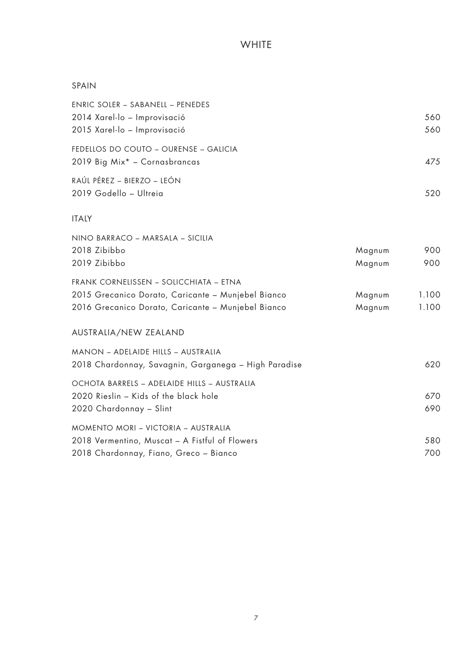#### SPAIN

| <b>ENRIC SOLER - SABANELL - PENEDES</b>              |        |       |
|------------------------------------------------------|--------|-------|
| 2014 Xarel-lo - Improvisació                         |        | 560   |
| 2015 Xarel-lo - Improvisació                         |        | 560   |
| FEDELLOS DO COUTO - OURENSE - GALICIA                |        |       |
| 2019 Big Mix* - Cornasbrancas                        |        | 475   |
| RAÚL PÉREZ - BIERZO - LEÓN                           |        |       |
| 2019 Godello - Ultreia                               |        | 520   |
| <b>ITALY</b>                                         |        |       |
| NINO BARRACO - MARSALA - SICILIA                     |        |       |
| 2018 Zibibbo                                         | Magnum | 900   |
| 2019 Zibibbo                                         | Magnum | 900   |
| FRANK CORNELISSEN - SOLICCHIATA - ETNA               |        |       |
| 2015 Grecanico Dorato, Caricante - Munjebel Bianco   | Magnum | 1.100 |
| 2016 Grecanico Dorato, Caricante - Munjebel Bianco   | Magnum | 1.100 |
| AUSTRALIA/NEW ZEALAND                                |        |       |
| MANON - ADELAIDE HILLS - AUSTRALIA                   |        |       |
| 2018 Chardonnay, Savagnin, Garganega - High Paradise |        | 620   |
| OCHOTA BARRELS - ADELAIDE HILLS - AUSTRALIA          |        |       |
| 2020 Rieslin - Kids of the black hole                |        | 670   |
| 2020 Chardonnay - Slint                              |        | 690   |
| MOMENTO MORI - VICTORIA - AUSTRALIA                  |        |       |
| 2018 Vermentino, Muscat - A Fistful of Flowers       |        | 580   |
| 2018 Chardonnay, Fiano, Greco - Bianco               |        | 700   |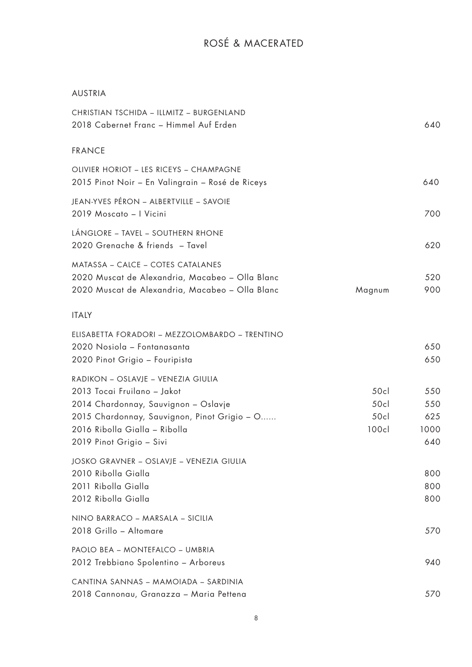# ROSÉ & MACERATED

## AUSTRIA

| CHRISTIAN TSCHIDA - ILLMITZ - BURGENLAND<br>2018 Cabernet Franc - Himmel Auf Erden                                                                                                                                     |                            | 640                              |
|------------------------------------------------------------------------------------------------------------------------------------------------------------------------------------------------------------------------|----------------------------|----------------------------------|
| <b>FRANCE</b>                                                                                                                                                                                                          |                            |                                  |
| OLIVIER HORIOT - LES RICEYS - CHAMPAGNE<br>2015 Pinot Noir – En Valingrain – Rosé de Riceys                                                                                                                            |                            | 640                              |
| JEAN-YVES PÉRON - ALBERTVILLE - SAVOIE<br>2019 Moscato - I Vicini                                                                                                                                                      |                            | 700                              |
| LÁNGLORE – TAVEL – SOUTHERN RHONE<br>2020 Grenache & friends - Tavel                                                                                                                                                   |                            | 620                              |
| MATASSA - CALCE - COTES CATALANES<br>2020 Muscat de Alexandria, Macabeo - Olla Blanc<br>2020 Muscat de Alexandria, Macabeo - Olla Blanc                                                                                | Magnum                     | 520<br>900                       |
| <b>ITALY</b>                                                                                                                                                                                                           |                            |                                  |
| ELISABETTA FORADORI - MEZZOLOMBARDO - TRENTINO<br>2020 Nosiola - Fontanasanta<br>2020 Pinot Grigio - Fouripista                                                                                                        |                            | 650<br>650                       |
| RADIKON - OSLAVJE - VENEZIA GIULIA<br>2013 Tocai Fruilano - Jakot<br>2014 Chardonnay, Sauvignon - Oslavje<br>2015 Chardonnay, Sauvignon, Pinot Grigio - O<br>2016 Ribolla Gialla - Ribolla<br>2019 Pinot Grigio - Sivi | 50c<br>50c<br>50c<br>100cl | 550<br>550<br>625<br>1000<br>640 |
| JOSKO GRAVNER - OSLAVJE - VENEZIA GIULIA<br>2010 Ribolla Gialla<br>2011 Ribolla Gialla<br>2012 Ribolla Gialla                                                                                                          |                            | 800<br>800<br>800                |
| NINO BARRACO - MARSALA - SICILIA<br>2018 Grillo - Altomare                                                                                                                                                             |                            | 570                              |
| PAOLO BEA - MONTEFALCO - UMBRIA<br>2012 Trebbiano Spolentino - Arboreus                                                                                                                                                |                            | 940                              |
| CANTINA SANNAS - MAMOIADA - SARDINIA<br>2018 Cannonau, Granazza - Maria Pettena                                                                                                                                        |                            | 570                              |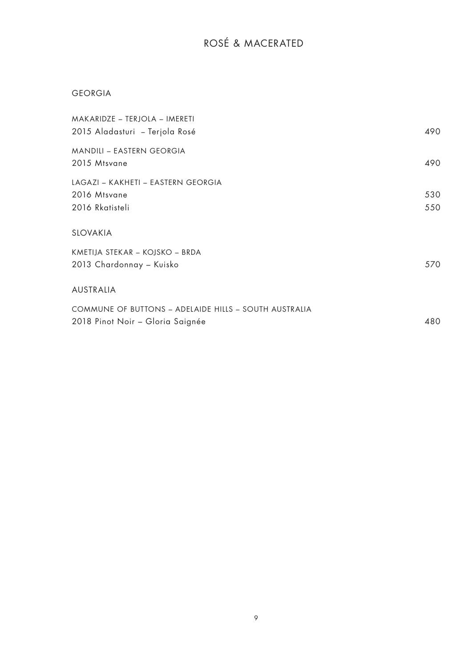# ROSÉ & MACERATED

## GEORGIA

| MAKARIDZE – TERJOLA – IMERETI<br>2015 Aladasturi – Terjola Rosé                           | 490        |
|-------------------------------------------------------------------------------------------|------------|
| MANDILI – EASTERN GEORGIA<br>2015 Mtsvane                                                 | 490        |
| LAGAZI – KAKHETI – EASTERN GEORGIA<br>2016 Mtsvane<br>2016 Rkatisteli                     | 530<br>550 |
| SLOVAKIA                                                                                  |            |
| KMETIJA STEKAR – KOJSKO – BRDA<br>2013 Chardonnay – Kuisko                                | 570        |
| AUSTRALIA                                                                                 |            |
| COMMUNE OF BUTTONS - ADELAIDE HILLS - SOUTH AUSTRALIA<br>2018 Pinot Noir – Gloria Saignée | 480        |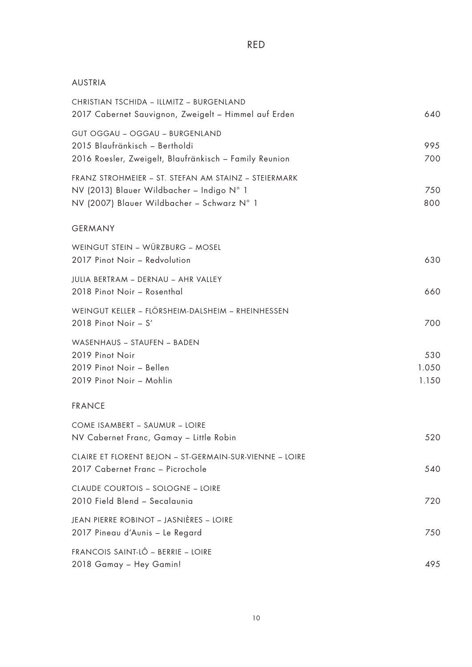## AUSTRIA

| CHRISTIAN TSCHIDA - ILLMITZ - BURGENLAND<br>2017 Cabernet Sauvignon, Zweigelt - Himmel auf Erden                                                | 640                   |
|-------------------------------------------------------------------------------------------------------------------------------------------------|-----------------------|
| GUT OGGAU - OGGAU - BURGENLAND<br>2015 Blaufränkisch - Bertholdi<br>2016 Roesler, Zweigelt, Blaufränkisch - Family Reunion                      | 995<br>700            |
| FRANZ STROHMEIER - ST. STEFAN AM STAINZ - STEIERMARK<br>NV (2013) Blauer Wildbacher - Indigo N° 1<br>NV (2007) Blauer Wildbacher - Schwarz N° 1 | 750<br>800            |
| <b>GERMANY</b>                                                                                                                                  |                       |
| WEINGUT STEIN - WÜRZBURG - MOSEL<br>2017 Pinot Noir - Redvolution                                                                               | 630                   |
| JULIA BERTRAM - DERNAU - AHR VALLEY<br>2018 Pinot Noir - Rosenthal                                                                              | 660                   |
| WEINGUT KELLER - FLÖRSHEIM-DALSHEIM - RHEINHESSEN<br>2018 Pinot Noir $- S'$                                                                     | 700                   |
| WASENHAUS - STAUFEN - BADEN<br>2019 Pinot Noir<br>2019 Pinot Noir - Bellen<br>2019 Pinot Noir - Mohlin                                          | 530<br>1.050<br>1.150 |
| <b>FRANCE</b>                                                                                                                                   |                       |
| COME ISAMBERT - SAUMUR - LOIRE<br>NV Cabernet Franc, Gamay - Little Robin                                                                       | 520                   |
| CLAIRE ET FLORENT BEJON - ST-GERMAIN-SUR-VIENNE - LOIRE<br>2017 Cabernet Franc - Picrochole                                                     | 540                   |
| CLAUDE COURTOIS - SOLOGNE - LOIRE<br>2010 Field Blend - Secalaunia                                                                              | 720                   |
| JEAN PIERRE ROBINOT - JASNIÈRES - LOIRE<br>2017 Pineau d'Aunis - Le Regard                                                                      | 750                   |
| FRANCOIS SAINT-LÔ - BERRIE - LOIRE<br>2018 Gamay - Hey Gamin!                                                                                   | 495                   |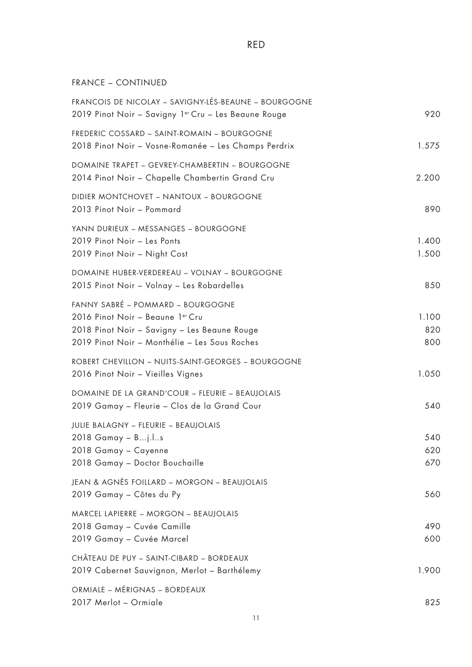## FRANCE – CONTINUED

| FRANCOIS DE NICOLAY - SAVIGNY-LÉS-BEAUNE - BOURGOGNE<br>2019 Pinot Noir - Savigny 1er Cru - Les Beaune Rouge                                                           | 920                 |
|------------------------------------------------------------------------------------------------------------------------------------------------------------------------|---------------------|
| FREDERIC COSSARD - SAINT-ROMAIN - BOURGOGNE<br>2018 Pinot Noir - Vosne-Romanée - Les Champs Perdrix                                                                    | 1.575               |
| DOMAINE TRAPET - GEVREY-CHAMBERTIN - BOURGOGNE<br>2014 Pinot Noir - Chapelle Chambertin Grand Cru                                                                      | 2.200               |
| DIDIER MONTCHOVET - NANTOUX - BOURGOGNE<br>2013 Pinot Noir - Pommard                                                                                                   | 890                 |
| YANN DURIEUX - MESSANGES - BOURGOGNE<br>2019 Pinot Noir - Les Ponts<br>2019 Pinot Noir - Night Cost                                                                    | 1.400<br>1.500      |
| DOMAINE HUBER-VERDEREAU - VOLNAY - BOURGOGNE<br>2015 Pinot Noir - Volnay - Les Robardelles                                                                             | 850                 |
| FANNY SABRÉ - POMMARD - BOURGOGNE<br>2016 Pinot Noir - Beaune 1er Cru<br>2018 Pinot Noir - Savigny - Les Beaune Rouge<br>2019 Pinot Noir - Monthélie - Les Sous Roches | 1.100<br>820<br>800 |
| ROBERT CHEVILLON - NUITS-SAINT-GEORGES - BOURGOGNE<br>2016 Pinot Noir - Vieilles Vignes                                                                                | 1.050               |
| DOMAINE DE LA GRAND'COUR - FLEURIE - BEAUJOLAIS<br>2019 Gamay - Fleurie - Clos de la Grand Cour                                                                        | 540                 |
| JULIE BALAGNY - FLEURIE - BEAUJOLAIS<br>2018 Gamay - Bj.ls<br>2018 Gamay - Cayenne<br>2018 Gamay - Doctor Bouchaille                                                   | 540<br>620<br>670   |
| JEAN & AGNÈS FOILLARD – MORGON – BEAUJOLAIS<br>2019 Gamay - Côtes du Py                                                                                                | 560                 |
| MARCEL LAPIERRE - MORGON - BEAUJOLAIS<br>2018 Gamay - Cuvée Camille<br>2019 Gamay - Cuvée Marcel                                                                       | 490<br>600          |
| CHÂTEAU DE PUY - SAINT-CIBARD - BORDEAUX<br>2019 Cabernet Sauvignon, Merlot - Barthélemy                                                                               | 1.900               |
| ORMIALE - MÉRIGNAS - BORDEAUX<br>2017 Merlot - Ormiale                                                                                                                 | 825                 |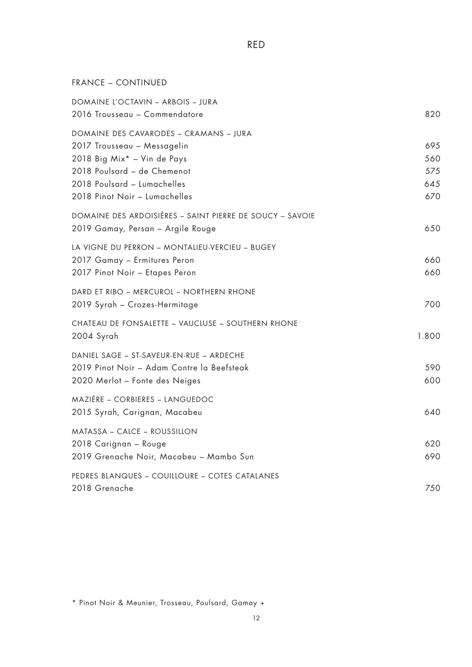RED

FRANCE – CONTINUED

| DOMAINE L'OCTAVIN - ARBOIS - JURA<br>2016 Trousseau - Commendatore                                                                                                                                  | 820                             |
|-----------------------------------------------------------------------------------------------------------------------------------------------------------------------------------------------------|---------------------------------|
| DOMAINE DES CAVARODES – CRAMANS – JURA<br>2017 Trousseau - Messagelin<br>2018 Big Mix* - Vin de Pays<br>2018 Poulsard - de Chemenot<br>2018 Poulsard - Lumachelles<br>2018 Pinot Noir - Lumachelles | 695<br>560<br>575<br>645<br>670 |
| DOMAINE DES ARDOISIÈRES - SAINT PIERRE DE SOUCY - SAVOIE<br>2019 Gamay, Persan – Argile Rouge                                                                                                       | 650                             |
| LA VIGNE DU PERRON – MONTALIEU-VERCIEU – BUGEY<br>2017 Gamay - Ermitures Peron<br>2017 Pinot Noir - Etapes Peron                                                                                    | 660<br>660                      |
| DARD ET RIBO - MERCUROL - NORTHERN RHONE<br>2019 Syrah - Crozes-Hermitage                                                                                                                           | 700                             |
| CHATEAU DE FONSALETTE - VAUCLUSE - SOUTHERN RHONE<br>2004 Syrah                                                                                                                                     | 1.800                           |
| DANIEL SAGE - ST-SAVEUR-EN-RUE - ARDECHE<br>2019 Pinot Noir - Adam Contre la Beefsteak<br>2020 Merlot - Fonte des Neiges                                                                            | 590<br>600                      |
| MAZIÈRE - CORBIERES - LANGUEDOC<br>2015 Syrah, Carignan, Macabeu                                                                                                                                    | 640                             |
| MATASSA - CALCE - ROUSSILLON<br>2018 Carignan - Rouge<br>2019 Grenache Noir, Macabeu - Mambo Sun                                                                                                    | 620<br>690                      |
| PEDRES BLANQUES - COUILLOURE - COTES CATALANES<br>2018 Grenache                                                                                                                                     | 750                             |

\* Pinot Noir & Meunier, Trosseau, Poulsard, Gamay +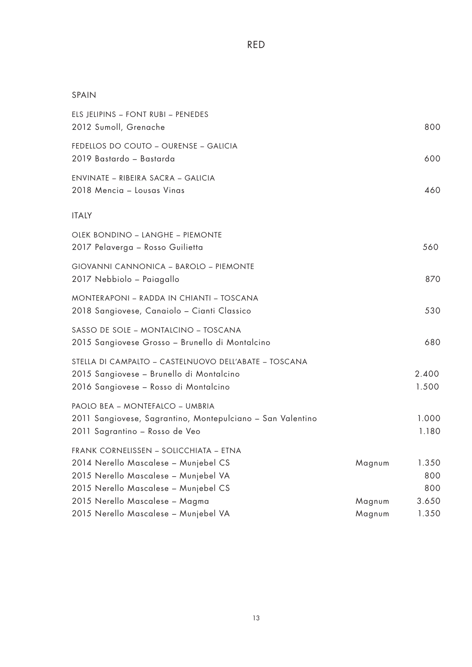## SPAIN

| ELS JELIPINS - FONT RUBI - PENEDES<br>2012 Sumoll, Grenache                                                                                                    |                  | 800                 |
|----------------------------------------------------------------------------------------------------------------------------------------------------------------|------------------|---------------------|
| FEDELLOS DO COUTO - OURENSE - GALICIA<br>2019 Bastardo - Bastarda                                                                                              |                  | 600                 |
| ENVINATE - RIBEIRA SACRA - GALICIA<br>2018 Mencia - Lousas Vinas                                                                                               |                  | 460                 |
| <b>ITALY</b>                                                                                                                                                   |                  |                     |
| OLEK BONDINO – LANGHE – PIEMONTE<br>2017 Pelaverga – Rosso Guilietta                                                                                           |                  | 560                 |
| GIOVANNI CANNONICA - BAROLO - PIEMONTE<br>2017 Nebbiolo - Paiagallo                                                                                            |                  | 870                 |
| MONTERAPONI – RADDA IN CHIANTI – TOSCANA<br>2018 Sangiovese, Canaiolo – Cianti Classico                                                                        |                  | 530                 |
| SASSO DE SOLE - MONTALCINO - TOSCANA<br>2015 Sangiovese Grosso - Brunello di Montalcino                                                                        |                  | 680                 |
| STELLA DI CAMPALTO - CASTELNUOVO DELL'ABATE - TOSCANA<br>2015 Sangiovese - Brunello di Montalcino<br>2016 Sangiovese - Rosso di Montalcino                     |                  | 2.400<br>1.500      |
| PAOLO BEA - MONTEFALCO - UMBRIA<br>2011 Sangiovese, Sagrantino, Montepulciano - San Valentino<br>2011 Sagrantino - Rosso de Veo                                |                  | 1.000<br>1.180      |
| FRANK CORNELISSEN - SOLICCHIATA - ETNA<br>2014 Nerello Mascalese - Munjebel CS<br>2015 Nerello Mascalese - Munjebel VA<br>2015 Nerello Mascalese - Munjebel CS | Magnum           | 1.350<br>800<br>800 |
| 2015 Nerello Mascalese - Magma<br>2015 Nerello Mascalese – Munjebel VA                                                                                         | Magnum<br>Magnum | 3.650<br>1.350      |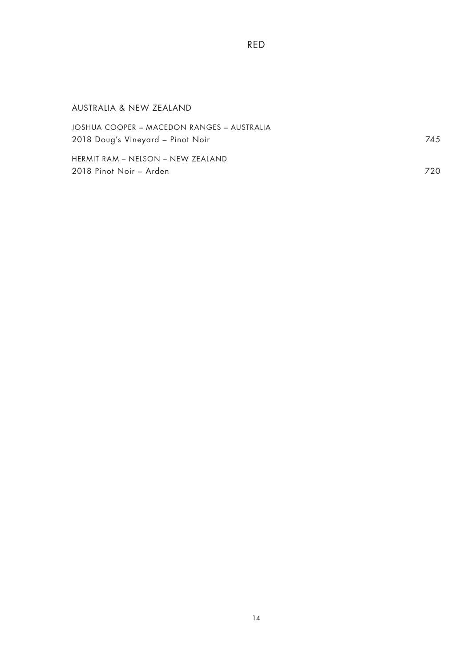| AUSTRALIA & NEW ZEALAND                                                         |      |
|---------------------------------------------------------------------------------|------|
| JOSHUA COOPER - MACEDON RANGES - AUSTRALIA<br>2018 Doug's Vineyard - Pinot Noir | 745  |
| HERMIT RAM – NELSON – NEW ZEALAND<br>2018 Pinot Noir - Arden                    | 720. |

RED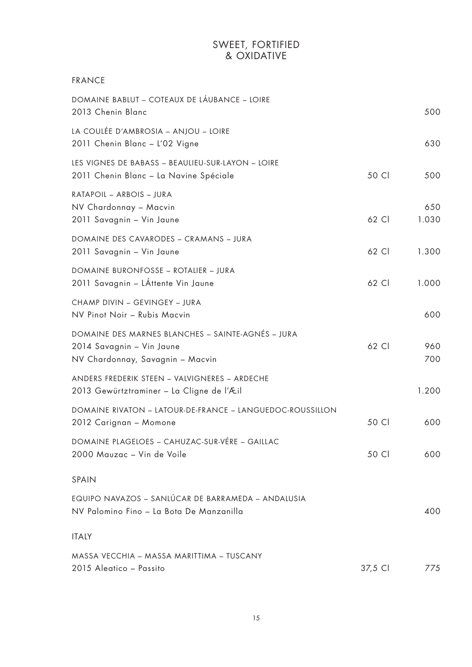## SWEET, FORTIFIED & OXIDATIVE

| <b>FRANCE</b>                                                                                                      |         |              |
|--------------------------------------------------------------------------------------------------------------------|---------|--------------|
| DOMAINE BABLUT – COTEAUX DE LÁUBANCE – LOIRE<br>2013 Chenin Blanc                                                  |         | 500          |
| LA COULÉE D'AMBROSIA - ANJOU - LOIRE<br>2011 Chenin Blanc - L'02 Vigne                                             |         | 630          |
| LES VIGNES DE BABASS - BEAULIEU-SUR-LAYON - LOIRE<br>2011 Chenin Blanc - La Navine Spéciale                        | 50 Cl   | 500          |
| RATAPOIL - ARBOIS - JURA<br>NV Chardonnay - Macvin<br>2011 Savagnin - Vin Jaune                                    | 62 Cl   | 650<br>1.030 |
| DOMAINE DES CAVARODES - CRAMANS - JURA<br>2011 Savagnin - Vin Jaune                                                | 62 Cl   | 1.300        |
| DOMAINE BURONFOSSE - ROTALIER - JURA<br>2011 Savagnin - LÁttente Vin Jaune                                         | 62 Cl   | 1.000        |
| CHAMP DIVIN - GEVINGEY - JURA<br>NV Pinot Noir - Rubis Macvin                                                      |         | 600          |
| DOMAINE DES MARNES BLANCHES - SAINTE-AGNÉS - JURA<br>2014 Savagnin - Vin Jaune<br>NV Chardonnay, Savagnin - Macvin | 62 Cl   | 960<br>700   |
| ANDERS FREDERIK STEEN - VALVIGNERES - ARDECHE<br>2013 Gewürtztraminer – La Cligne de l'Æil                         |         | 1.200        |
| DOMAINE RIVATON - LATOUR-DE-FRANCE - LANGUEDOC-ROUSSILLON<br>2012 Carignan - Momone                                | 50 Cl   | 600          |
| DOMAINE PLAGELOES - CAHUZAC-SUR-VÉRE - GAILLAC<br>2000 Mauzac - Vin de Voile                                       | 50 Cl   | 600          |
| SPAIN                                                                                                              |         |              |
| EQUIPO NAVAZOS – SANLÚCAR DE BARRAMEDA – ANDALUSIA<br>NV Palomino Fino - La Bota De Manzanilla                     |         | 400          |
| <b>ITALY</b>                                                                                                       |         |              |
| MASSA VECCHIA – MASSA MARITTIMA – TUSCANY<br>2015 Aleatico - Passito                                               | 37,5 Cl | 775          |